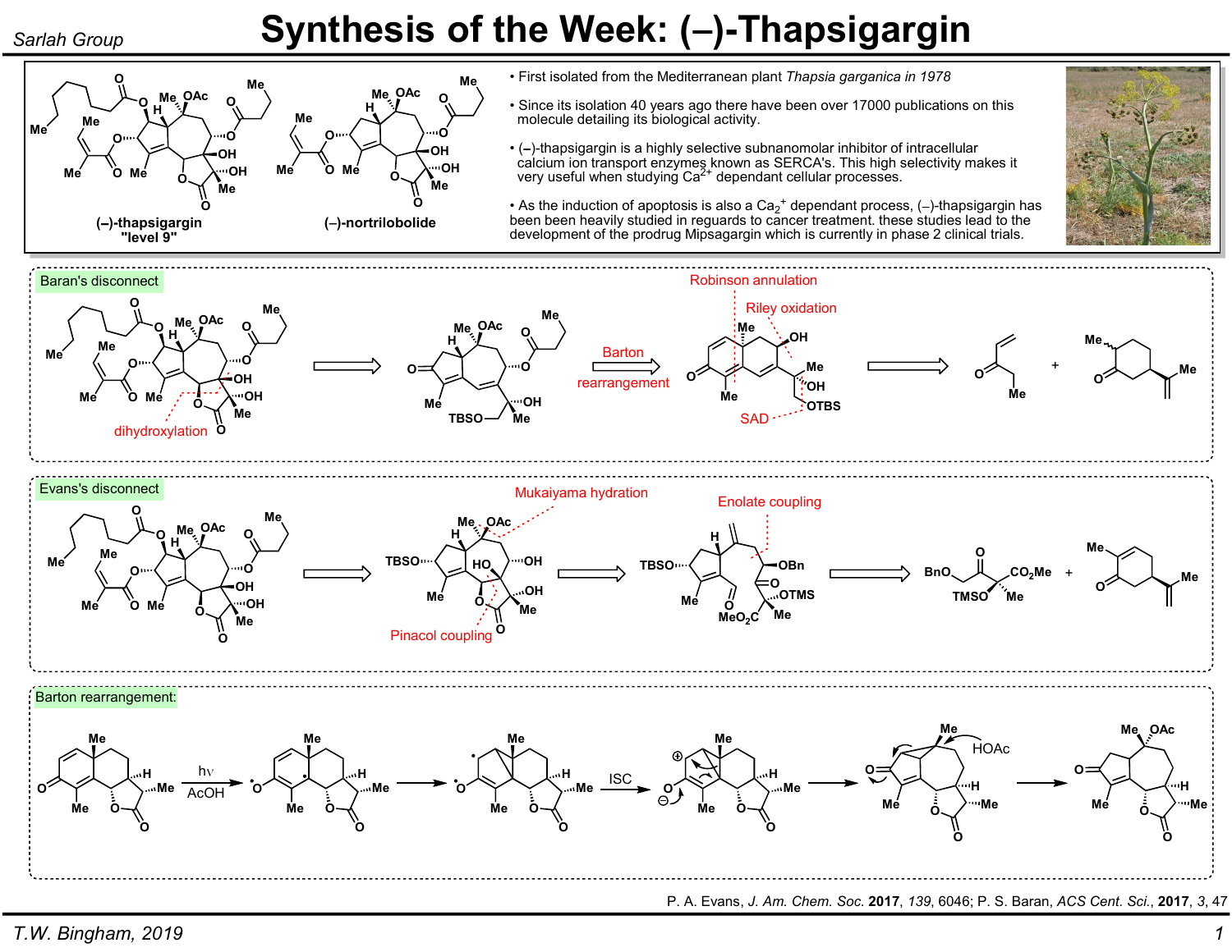## Sarlah Group **Synthesis of the Week: (-)-Thapsigargin**



• First isolated from the Mediterranean plant Thapsia garganica in 1978

- Since its isolation 40 years ago there have been over 17000 publications on this molecule detailing its biological activity.
- $\cdot$  (-)-thapsigargin is a highly selective subnanomolar inhibitor of intracellular calcium ion transport enzymes known as SERCA's. This high selectivity makes it very useful when studying Ca<sup>2+</sup> dependant cellular processes.



• As the induction of apoptosis is also a  $\text{Ca}_2{}^+$  dependant process, (-)-thapsigargin has been been heavily studied in reguards to cancer treatment. these studies lead to the development of the prodrug Mipsagargin which is currently in phase 2 clinical trials.



P. A. Evans, J. Am. Chem. Soc. 2017, 139, 6046; P. S. Baran, ACS Cent. Sci., 2017, 3, 47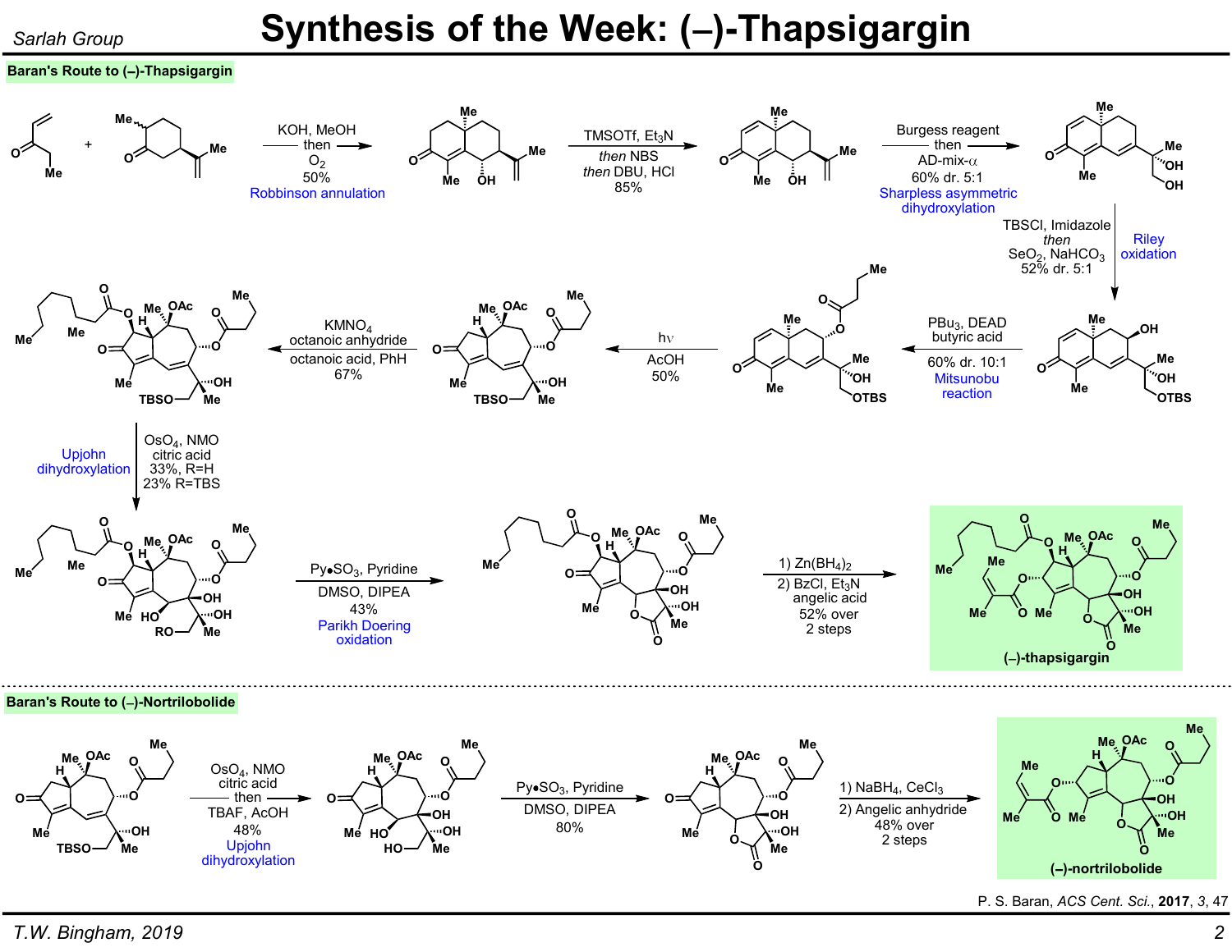# Sarlah Group **Synthesis of the Week: (-)-Thapsigargin**

### Baran's Route to  $(-)$ -Thapsigargin



P. S. Baran, ACS Cent. Sci., 2017, 3, 47